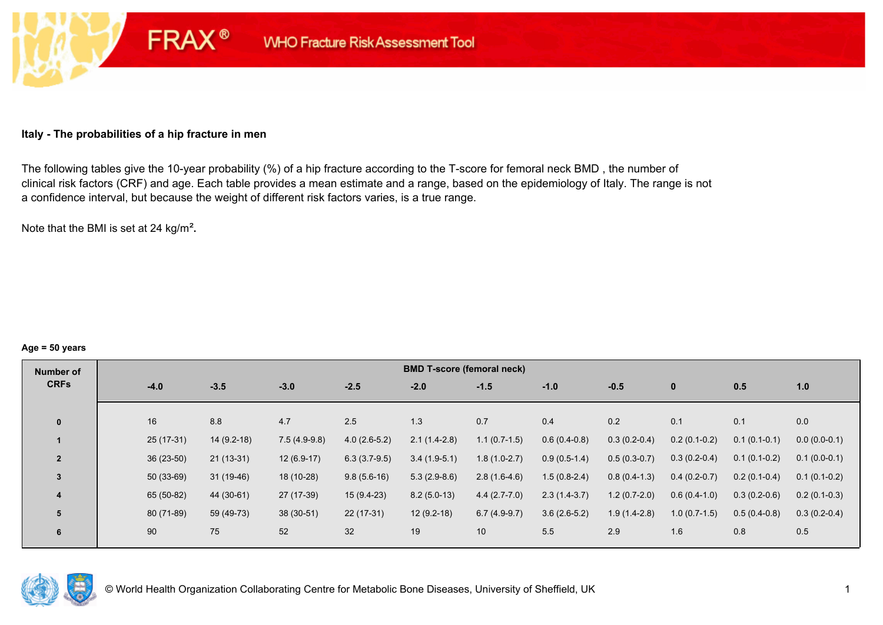#### **Italy - The probabilities of a hip fracture in men**

**FRAX®** 

The following tables give the 10-year probability (%) of a hip fracture according to the T-score for femoral neck BMD , the number of clinical risk factors (CRF) and age. Each table provides a mean estimate and a range, based on the epidemiology of Italy. The range is not a confidence interval, but because the weight of different risk factors varies, is a true range.

Note that the BMI is set at 24 kg/m²**.** 

#### **Age = 50 years**

| Number of                                    | <b>BMD T-score (femoral neck)</b> |                |                |                |                |                |                |                |  |  |  |  |
|----------------------------------------------|-----------------------------------|----------------|----------------|----------------|----------------|----------------|----------------|----------------|--|--|--|--|
| <b>CRFs</b><br>$-4.0$<br>$-3.5$              | $-3.0$<br>$-2.5$                  | $-2.0$         | $-1.5$         | $-1.0$         | $-0.5$         | $\mathbf{0}$   | 0.5            | 1.0            |  |  |  |  |
|                                              |                                   |                |                |                |                |                |                |                |  |  |  |  |
| 16<br>8.8<br>$\bf{0}$                        | 4.7<br>2.5                        | 1.3            | 0.7            | 0.4            | 0.2            | 0.1            | 0.1            | 0.0            |  |  |  |  |
| $25(17-31)$<br>$14(9.2-18)$                  | $7.5(4.9-9.8)$<br>$4.0(2.6-5.2)$  | $2.1(1.4-2.8)$ | $1.1(0.7-1.5)$ | $0.6(0.4-0.8)$ | $0.3(0.2-0.4)$ | $0.2(0.1-0.2)$ | $0.1(0.1-0.1)$ | $0.0(0.0-0.1)$ |  |  |  |  |
| $36(23-50)$<br>$\overline{2}$<br>$21(13-31)$ | $12(6.9-17)$<br>$6.3(3.7-9.5)$    | $3.4(1.9-5.1)$ | $1.8(1.0-2.7)$ | $0.9(0.5-1.4)$ | $0.5(0.3-0.7)$ | $0.3(0.2-0.4)$ | $0.1(0.1-0.2)$ | $0.1(0.0-0.1)$ |  |  |  |  |
| $50(33-69)$<br>$31(19-46)$<br>3              | 18 (10-28)<br>$9.8(5.6-16)$       | $5.3(2.9-8.6)$ | $2.8(1.6-4.6)$ | $1.5(0.8-2.4)$ | $0.8(0.4-1.3)$ | $0.4(0.2-0.7)$ | $0.2(0.1-0.4)$ | $0.1(0.1-0.2)$ |  |  |  |  |
| 65 (50-82)<br>44 (30-61)<br>4                | 27 (17-39)<br>$15(9.4-23)$        | $8.2(5.0-13)$  | $4.4(2.7-7.0)$ | $2.3(1.4-3.7)$ | $1.2(0.7-2.0)$ | $0.6(0.4-1.0)$ | $0.3(0.2-0.6)$ | $0.2(0.1-0.3)$ |  |  |  |  |
| 80 (71-89)<br>59 (49-73)<br>5                | $38(30-51)$<br>$22(17-31)$        | $12(9.2-18)$   | $6.7(4.9-9.7)$ | $3.6(2.6-5.2)$ | $1.9(1.4-2.8)$ | $1.0(0.7-1.5)$ | $0.5(0.4-0.8)$ | $0.3(0.2-0.4)$ |  |  |  |  |
| 90<br>75<br>6                                | 32<br>52                          | 19             | 10             | 5.5            | 2.9            | 1.6            | 0.8            | 0.5            |  |  |  |  |

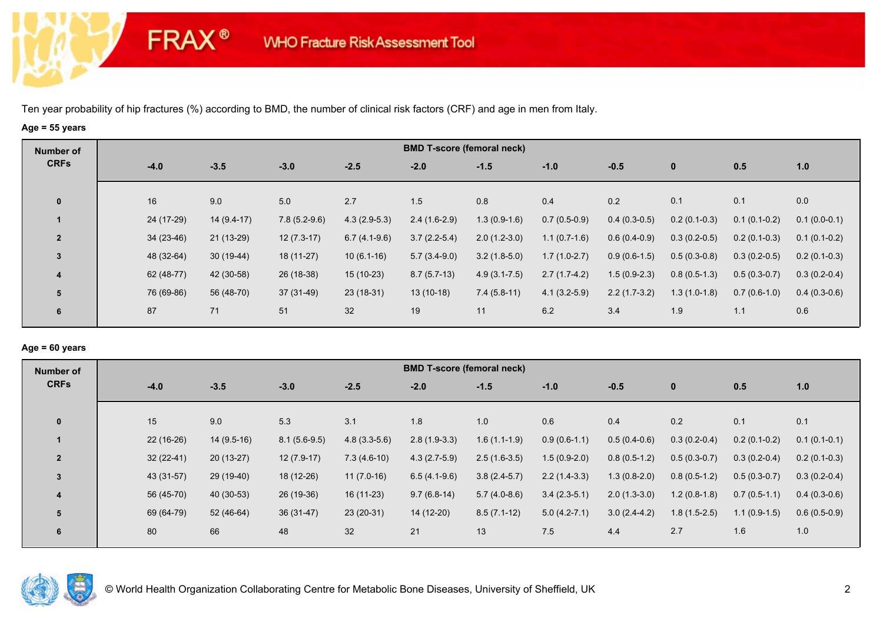**FRAX®** 

# **Age = 55 years**

| Number of      |             |              |                |                | <b>BMD T-score (femoral neck)</b> |                  |                |                |                |                |                |
|----------------|-------------|--------------|----------------|----------------|-----------------------------------|------------------|----------------|----------------|----------------|----------------|----------------|
| <b>CRFs</b>    | $-4.0$      | $-3.5$       | $-3.0$         | $-2.5$         | $-2.0$                            | $-1.5$           | $-1.0$         | $-0.5$         | $\bf{0}$       | 0.5            | 1.0            |
| $\mathbf 0$    | 16          | 9.0          | 5.0            | 2.7            | 1.5                               | 0.8              | 0.4            | 0.2            | 0.1            | 0.1            | 0.0            |
|                | 24 (17-29)  | $14(9.4-17)$ | $7.8(5.2-9.6)$ | $4.3(2.9-5.3)$ | $2.4(1.6-2.9)$                    | $1.3(0.9-1.6)$   | $0.7(0.5-0.9)$ | $0.4(0.3-0.5)$ | $0.2(0.1-0.3)$ | $0.1(0.1-0.2)$ | $0.1(0.0-0.1)$ |
| $\overline{2}$ | $34(23-46)$ | 21 (13-29)   | $12(7.3-17)$   | $6.7(4.1-9.6)$ | $3.7(2.2-5.4)$                    | $2.0(1.2-3.0)$   | $1.1(0.7-1.6)$ | $0.6(0.4-0.9)$ | $0.3(0.2-0.5)$ | $0.2(0.1-0.3)$ | $0.1(0.1-0.2)$ |
| $\mathbf{3}$   | 48 (32-64)  | $30(19-44)$  | 18 (11-27)     | $10(6.1-16)$   | $5.7(3.4-9.0)$                    | $3.2(1.8-5.0)$   | $1.7(1.0-2.7)$ | $0.9(0.6-1.5)$ | $0.5(0.3-0.8)$ | $0.3(0.2-0.5)$ | $0.2(0.1-0.3)$ |
| 4              | 62 (48-77)  | 42 (30-58)   | 26 (18-38)     | $15(10-23)$    | $8.7(5.7-13)$                     | $4.9(3.1 - 7.5)$ | $2.7(1.7-4.2)$ | $1.5(0.9-2.3)$ | $0.8(0.5-1.3)$ | $0.5(0.3-0.7)$ | $0.3(0.2-0.4)$ |
| 5              | 76 (69-86)  | 56 (48-70)   | 37 (31-49)     | 23 (18-31)     | $13(10-18)$                       | $7.4(5.8-11)$    | $4.1(3.2-5.9)$ | $2.2(1.7-3.2)$ | $1.3(1.0-1.8)$ | $0.7(0.6-1.0)$ | $0.4(0.3-0.6)$ |
| 6              | 87          | 71           | 51             | 32             | 19                                | 11               | 6.2            | 3.4            | 1.9            | 1.1            | 0.6            |

## **Age = 60 years**

| Number of      |             |              |                |                | <b>BMD T-score (femoral neck)</b> |                |                |                |                |                |                |
|----------------|-------------|--------------|----------------|----------------|-----------------------------------|----------------|----------------|----------------|----------------|----------------|----------------|
| <b>CRFs</b>    | $-4.0$      | $-3.5$       | $-3.0$         | $-2.5$         | $-2.0$                            | $-1.5$         | $-1.0$         | $-0.5$         | $\mathbf{0}$   | 0.5            | 1.0            |
|                |             |              |                |                |                                   |                |                |                |                |                |                |
| $\mathbf 0$    | 15          | 9.0          | 5.3            | 3.1            | 1.8                               | 1.0            | 0.6            | 0.4            | 0.2            | 0.1            | 0.1            |
|                | $22(16-26)$ | $14(9.5-16)$ | $8.1(5.6-9.5)$ | $4.8(3.3-5.6)$ | $2.8(1.9-3.3)$                    | $1.6(1.1-1.9)$ | $0.9(0.6-1.1)$ | $0.5(0.4-0.6)$ | $0.3(0.2-0.4)$ | $0.2(0.1-0.2)$ | $0.1(0.1-0.1)$ |
| $\overline{2}$ | $32(22-41)$ | $20(13-27)$  | $12(7.9-17)$   | $7.3(4.6-10)$  | $4.3(2.7-5.9)$                    | $2.5(1.6-3.5)$ | $1.5(0.9-2.0)$ | $0.8(0.5-1.2)$ | $0.5(0.3-0.7)$ | $0.3(0.2-0.4)$ | $0.2(0.1-0.3)$ |
| 3              | 43 (31-57)  | 29 (19-40)   | 18 (12-26)     | $11(7.0-16)$   | $6.5(4.1-9.6)$                    | $3.8(2.4-5.7)$ | $2.2(1.4-3.3)$ | $1.3(0.8-2.0)$ | $0.8(0.5-1.2)$ | $0.5(0.3-0.7)$ | $0.3(0.2-0.4)$ |
| $\overline{4}$ | 56 (45-70)  | 40 (30-53)   | 26 (19-36)     | $16(11-23)$    | $9.7(6.8-14)$                     | $5.7(4.0-8.6)$ | $3.4(2.3-5.1)$ | $2.0(1.3-3.0)$ | $1.2(0.8-1.8)$ | $0.7(0.5-1.1)$ | $0.4(0.3-0.6)$ |
| 5              | 69 (64-79)  | $52(46-64)$  | $36(31-47)$    | $23(20-31)$    | 14 (12-20)                        | $8.5(7.1-12)$  | $5.0(4.2-7.1)$ | $3.0(2.4-4.2)$ | $1.8(1.5-2.5)$ | $1.1(0.9-1.5)$ | $0.6(0.5-0.9)$ |
| 6              | 80          | 66           | 48             | 32             | 21                                | 13             | 7.5            | 4.4            | 2.7            | 1.6            | 1.0            |

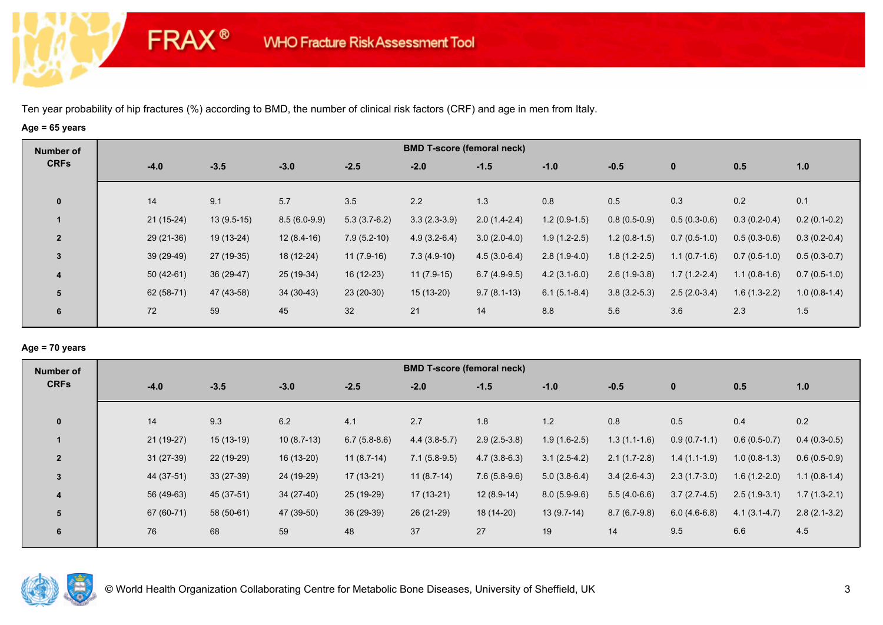**FRAX®** 

# **Age = 65 years**

| Number of               |             | <b>BMD T-score (femoral neck)</b> |                |                |                |                |                |                |                |                |                |  |  |  |
|-------------------------|-------------|-----------------------------------|----------------|----------------|----------------|----------------|----------------|----------------|----------------|----------------|----------------|--|--|--|
| <b>CRFs</b>             | $-4.0$      | $-3.5$                            | $-3.0$         | $-2.5$         | $-2.0$         | $-1.5$         | $-1.0$         | $-0.5$         | $\bf{0}$       | 0.5            | 1.0            |  |  |  |
| $\mathbf 0$             | 14          | 9.1                               | 5.7            | 3.5            | 2.2            | 1.3            | 0.8            | 0.5            | 0.3            | 0.2            | 0.1            |  |  |  |
|                         | $21(15-24)$ | $13(9.5-15)$                      | $8.5(6.0-9.9)$ | $5.3(3.7-6.2)$ | $3.3(2.3-3.9)$ | $2.0(1.4-2.4)$ | $1.2(0.9-1.5)$ | $0.8(0.5-0.9)$ | $0.5(0.3-0.6)$ | $0.3(0.2-0.4)$ | $0.2(0.1-0.2)$ |  |  |  |
| $\overline{2}$          | $29(21-36)$ | 19 (13-24)                        | $12(8.4-16)$   | $7.9(5.2-10)$  | $4.9(3.2-6.4)$ | $3.0(2.0-4.0)$ | $1.9(1.2-2.5)$ | $1.2(0.8-1.5)$ | $0.7(0.5-1.0)$ | $0.5(0.3-0.6)$ | $0.3(0.2-0.4)$ |  |  |  |
| 3                       | 39 (29-49)  | 27 (19-35)                        | 18 (12-24)     | $11(7.9-16)$   | $7.3(4.9-10)$  | $4.5(3.0-6.4)$ | $2.8(1.9-4.0)$ | $1.8(1.2-2.5)$ | $1.1(0.7-1.6)$ | $0.7(0.5-1.0)$ | $0.5(0.3-0.7)$ |  |  |  |
| $\overline{\mathbf{4}}$ | $50(42-61)$ | $36(29-47)$                       | 25 (19-34)     | 16 (12-23)     | $11(7.9-15)$   | $6.7(4.9-9.5)$ | $4.2(3.1-6.0)$ | $2.6(1.9-3.8)$ | $1.7(1.2-2.4)$ | $1.1(0.8-1.6)$ | $0.7(0.5-1.0)$ |  |  |  |
| 5                       | 62 (58-71)  | 47 (43-58)                        | $34(30-43)$    | $23(20-30)$    | $15(13-20)$    | $9.7(8.1-13)$  | $6.1(5.1-8.4)$ | $3.8(3.2-5.3)$ | $2.5(2.0-3.4)$ | $1.6(1.3-2.2)$ | $1.0(0.8-1.4)$ |  |  |  |
| 6                       | 72          | 59                                | 45             | 32             | 21             | 14             | 8.8            | 5.6            | 3.6            | 2.3            | 1.5            |  |  |  |

## **Age = 70 years**

| Number of      |             |             |              |                | <b>BMD T-score (femoral neck)</b> |                |                |                |                |                |                |
|----------------|-------------|-------------|--------------|----------------|-----------------------------------|----------------|----------------|----------------|----------------|----------------|----------------|
| <b>CRFs</b>    | $-4.0$      | $-3.5$      | $-3.0$       | $-2.5$         | $-2.0$                            | $-1.5$         | $-1.0$         | $-0.5$         | $\mathbf{0}$   | 0.5            | 1.0            |
|                |             |             |              |                |                                   |                |                |                |                |                |                |
| $\mathbf{0}$   | 14          | 9.3         | 6.2          | 4.1            | 2.7                               | 1.8            | 1.2            | 0.8            | 0.5            | 0.4            | 0.2            |
|                | $21(19-27)$ | $15(13-19)$ | $10(8.7-13)$ | $6.7(5.8-8.6)$ | $4.4(3.8-5.7)$                    | $2.9(2.5-3.8)$ | $1.9(1.6-2.5)$ | $1.3(1.1-1.6)$ | $0.9(0.7-1.1)$ | $0.6(0.5-0.7)$ | $0.4(0.3-0.5)$ |
| $\overline{2}$ | $31(27-39)$ | 22 (19-29)  | 16 (13-20)   | $11(8.7-14)$   | $7.1(5.8-9.5)$                    | $4.7(3.8-6.3)$ | $3.1(2.5-4.2)$ | $2.1(1.7-2.8)$ | $1.4(1.1-1.9)$ | $1.0(0.8-1.3)$ | $0.6(0.5-0.9)$ |
| $\overline{3}$ | 44 (37-51)  | $33(27-39)$ | 24 (19-29)   | 17 (13-21)     | $11(8.7-14)$                      | $7.6(5.8-9.6)$ | $5.0(3.8-6.4)$ | $3.4(2.6-4.3)$ | $2.3(1.7-3.0)$ | $1.6(1.2-2.0)$ | $1.1(0.8-1.4)$ |
| 4              | 56 (49-63)  | 45 (37-51)  | 34 (27-40)   | 25 (19-29)     | $17(13-21)$                       | $12(8.9-14)$   | $8.0(5.9-9.6)$ | $5.5(4.0-6.6)$ | $3.7(2.7-4.5)$ | $2.5(1.9-3.1)$ | $1.7(1.3-2.1)$ |
| 5              | 67 (60-71)  | 58 (50-61)  | 47 (39-50)   | 36 (29-39)     | 26 (21-29)                        | 18 (14-20)     | $13(9.7-14)$   | $8.7(6.7-9.8)$ | $6.0(4.6-6.8)$ | $4.1(3.1-4.7)$ | $2.8(2.1-3.2)$ |
| 6              | 76          | 68          | 59           | 48             | 37                                | 27             | 19             | 14             | 9.5            | 6.6            | 4.5            |
|                |             |             |              |                |                                   |                |                |                |                |                |                |

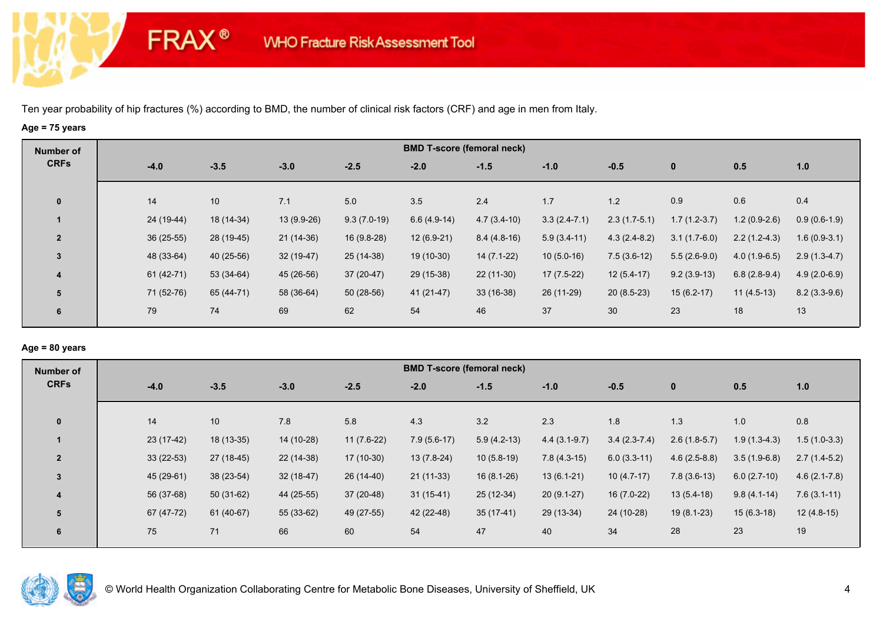**FRAX®** 

# **Age = 75 years**

| Number of               |             |             |             |               |               | <b>BMD T-score (femoral neck)</b> |                |                |                |                |                |
|-------------------------|-------------|-------------|-------------|---------------|---------------|-----------------------------------|----------------|----------------|----------------|----------------|----------------|
| <b>CRFs</b>             | $-4.0$      | $-3.5$      | $-3.0$      | $-2.5$        | $-2.0$        | $-1.5$                            | $-1.0$         | $-0.5$         | $\bf{0}$       | 0.5            | 1.0            |
| $\mathbf 0$             | 14          | 10          | 7.1         | 5.0           | 3.5           | 2.4                               | 1.7            | 1.2            | 0.9            | 0.6            | 0.4            |
|                         | 24 (19-44)  | 18 (14-34)  | 13 (9.9-26) | $9.3(7.0-19)$ | $6.6(4.9-14)$ | $4.7(3.4-10)$                     | $3.3(2.4-7.1)$ | $2.3(1.7-5.1)$ | $1.7(1.2-3.7)$ | $1.2(0.9-2.6)$ | $0.9(0.6-1.9)$ |
| $\overline{2}$          | $36(25-55)$ | 28 (19-45)  | 21 (14-36)  | $16(9.8-28)$  | $12(6.9-21)$  | $8.4(4.8-16)$                     | $5.9(3.4-11)$  | $4.3(2.4-8.2)$ | $3.1(1.7-6.0)$ | $2.2(1.2-4.3)$ | $1.6(0.9-3.1)$ |
| 3                       | 48 (33-64)  | $40(25-56)$ | $32(19-47)$ | $25(14-38)$   | 19 (10-30)    | $14(7.1-22)$                      | $10(5.0-16)$   | $7.5(3.6-12)$  | $5.5(2.6-9.0)$ | $4.0(1.9-6.5)$ | $2.9(1.3-4.7)$ |
| $\overline{\mathbf{4}}$ | 61 (42-71)  | $53(34-64)$ | 45 (26-56)  | $37(20-47)$   | 29 (15-38)    | $22(11-30)$                       | $17(7.5-22)$   | $12(5.4-17)$   | $9.2(3.9-13)$  | $6.8(2.8-9.4)$ | $4.9(2.0-6.9)$ |
| 5                       | 71 (52-76)  | 65 (44-71)  | 58 (36-64)  | $50(28-56)$   | $41(21-47)$   | $33(16-38)$                       | 26 (11-29)     | $20(8.5-23)$   | $15(6.2-17)$   | $11(4.5-13)$   | $8.2(3.3-9.6)$ |
| 6                       | 79          | 74          | 69          | 62            | 54            | 46                                | 37             | 30             | 23             | 18             | 13             |

## **Age = 80 years**

| Number of               |             |             |             |              |               | <b>BMD T-score (femoral neck)</b> |                |                |                |                |                  |
|-------------------------|-------------|-------------|-------------|--------------|---------------|-----------------------------------|----------------|----------------|----------------|----------------|------------------|
| <b>CRFs</b>             | $-4.0$      | $-3.5$      | $-3.0$      | $-2.5$       | $-2.0$        | $-1.5$                            | $-1.0$         | $-0.5$         | $\mathbf{0}$   | 0.5            | 1.0              |
| $\mathbf{0}$            | 14          | 10          | 7.8         | 5.8          | 4.3           | 3.2                               | 2.3            | 1.8            | 1.3            | 1.0            | 0.8              |
|                         | $23(17-42)$ | $18(13-35)$ | 14 (10-28)  | $11(7.6-22)$ | $7.9(5.6-17)$ | $5.9(4.2-13)$                     | $4.4(3.1-9.7)$ | $3.4(2.3-7.4)$ | $2.6(1.8-5.7)$ | $1.9(1.3-4.3)$ | $1.5(1.0-3.3)$   |
| $\overline{2}$          | $33(22-53)$ | 27 (18-45)  | 22 (14-38)  | $17(10-30)$  | $13(7.8-24)$  | $10(5.8-19)$                      | $7.8(4.3-15)$  | $6.0(3.3-11)$  | $4.6(2.5-8.8)$ | $3.5(1.9-6.8)$ | $2.7(1.4-5.2)$   |
| 3                       | 45 (29-61)  | 38 (23-54)  | $32(18-47)$ | $26(14-40)$  | $21(11-33)$   | $16(8.1-26)$                      | $13(6.1-21)$   | $10(4.7-17)$   | $7.8(3.6-13)$  | $6.0(2.7-10)$  | $4.6(2.1 - 7.8)$ |
| $\overline{\mathbf{4}}$ | 56 (37-68)  | $50(31-62)$ | 44 (25-55)  | 37 (20-48)   | $31(15-41)$   | 25 (12-34)                        | $20(9.1-27)$   | $16(7.0-22)$   | $13(5.4-18)$   | $9.8(4.1-14)$  | $7.6(3.1-11)$    |
| 5                       | 67 (47-72)  | 61 (40-67)  | 55 (33-62)  | 49 (27-55)   | 42 (22-48)    | $35(17-41)$                       | 29 (13-34)     | 24 (10-28)     | $19(8.1-23)$   | $15(6.3-18)$   | $12(4.8-15)$     |
| 6                       | 75          | 71          | 66          | 60           | 54            | 47                                | 40             | 34             | 28             | 23             | 19               |